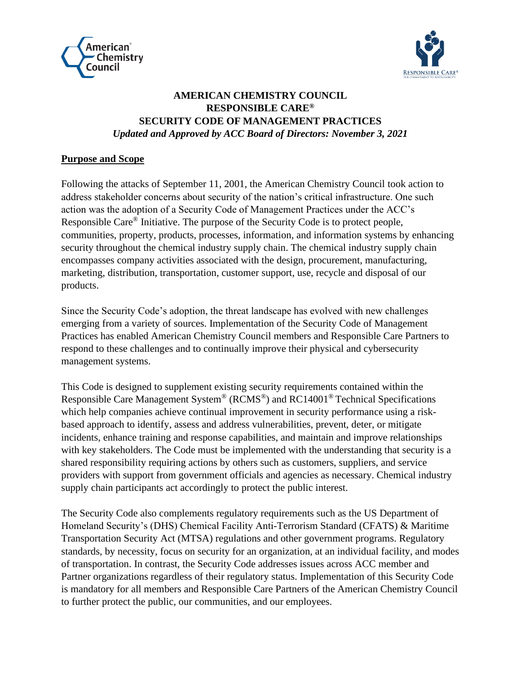



# **AMERICAN CHEMISTRY COUNCIL RESPONSIBLE CARE® SECURITY CODE OF MANAGEMENT PRACTICES**  *Updated and Approved by ACC Board of Directors: November 3, 2021*

### **Purpose and Scope**

Following the attacks of September 11, 2001, the American Chemistry Council took action to address stakeholder concerns about security of the nation's critical infrastructure. One such action was the adoption of a Security Code of Management Practices under the ACC's Responsible Care® Initiative. The purpose of the Security Code is to protect people, communities, property, products, processes, information, and information systems by enhancing security throughout the chemical industry supply chain. The chemical industry supply chain encompasses company activities associated with the design, procurement, manufacturing, marketing, distribution, transportation, customer support, use, recycle and disposal of our products.

Since the Security Code's adoption, the threat landscape has evolved with new challenges emerging from a variety of sources. Implementation of the Security Code of Management Practices has enabled American Chemistry Council members and Responsible Care Partners to respond to these challenges and to continually improve their physical and cybersecurity management systems.

This Code is designed to supplement existing security requirements contained within the Responsible Care Management System® (RCMS®) and RC14001® Technical Specifications which help companies achieve continual improvement in security performance using a riskbased approach to identify, assess and address vulnerabilities, prevent, deter, or mitigate incidents, enhance training and response capabilities, and maintain and improve relationships with key stakeholders. The Code must be implemented with the understanding that security is a shared responsibility requiring actions by others such as customers, suppliers, and service providers with support from government officials and agencies as necessary. Chemical industry supply chain participants act accordingly to protect the public interest.

The Security Code also complements regulatory requirements such as the US Department of Homeland Security's (DHS) Chemical Facility Anti-Terrorism Standard (CFATS) & Maritime Transportation Security Act (MTSA) regulations and other government programs. Regulatory standards, by necessity, focus on security for an organization, at an individual facility, and modes of transportation. In contrast, the Security Code addresses issues across ACC member and Partner organizations regardless of their regulatory status. Implementation of this Security Code is mandatory for all members and Responsible Care Partners of the American Chemistry Council to further protect the public, our communities, and our employees.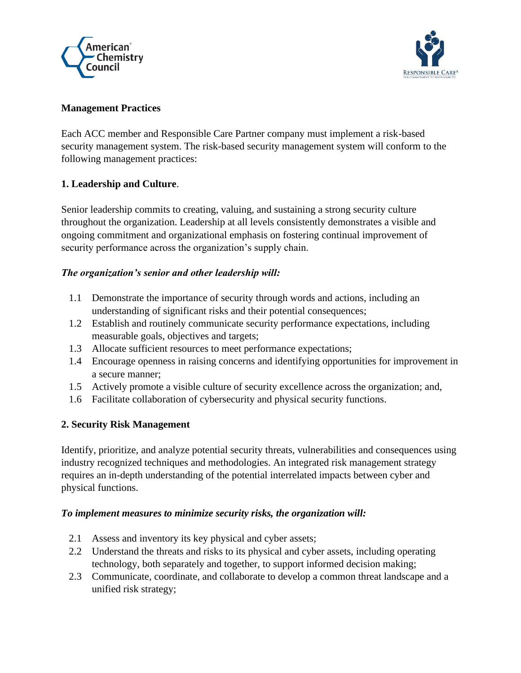



### **Management Practices**

Each ACC member and Responsible Care Partner company must implement a risk-based security management system. The risk-based security management system will conform to the following management practices:

## **1. Leadership and Culture**.

Senior leadership commits to creating, valuing, and sustaining a strong security culture throughout the organization. Leadership at all levels consistently demonstrates a visible and ongoing commitment and organizational emphasis on fostering continual improvement of security performance across the organization's supply chain.

## *The organization's senior and other leadership will:*

- 1.1 Demonstrate the importance of security through words and actions, including an understanding of significant risks and their potential consequences;
- 1.2 Establish and routinely communicate security performance expectations, including measurable goals, objectives and targets;
- 1.3 Allocate sufficient resources to meet performance expectations;
- 1.4 Encourage openness in raising concerns and identifying opportunities for improvement in a secure manner;
- 1.5 Actively promote a visible culture of security excellence across the organization; and,
- 1.6 Facilitate collaboration of cybersecurity and physical security functions.

## **2. Security Risk Management**

Identify, prioritize, and analyze potential security threats, vulnerabilities and consequences using industry recognized techniques and methodologies. An integrated risk management strategy requires an in-depth understanding of the potential interrelated impacts between cyber and physical functions.

## *To implement measures to minimize security risks, the organization will:*

- 2.1 Assess and inventory its key physical and cyber assets;
- 2.2 Understand the threats and risks to its physical and cyber assets, including operating technology, both separately and together, to support informed decision making;
- 2.3 Communicate, coordinate, and collaborate to develop a common threat landscape and a unified risk strategy;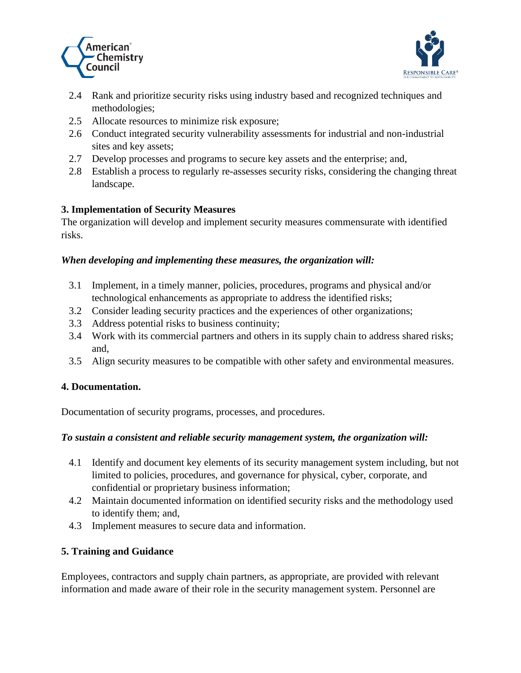



- 2.4 Rank and prioritize security risks using industry based and recognized techniques and methodologies;
- 2.5 Allocate resources to minimize risk exposure;
- 2.6 Conduct integrated security vulnerability assessments for industrial and non-industrial sites and key assets;
- 2.7 Develop processes and programs to secure key assets and the enterprise; and,
- 2.8 Establish a process to regularly re-assesses security risks, considering the changing threat landscape.

## **3. Implementation of Security Measures**

The organization will develop and implement security measures commensurate with identified risks.

## *When developing and implementing these measures, the organization will:*

- 3.1 Implement, in a timely manner, policies, procedures, programs and physical and/or technological enhancements as appropriate to address the identified risks;
- 3.2 Consider leading security practices and the experiences of other organizations;
- 3.3 Address potential risks to business continuity;
- 3.4 Work with its commercial partners and others in its supply chain to address shared risks; and,
- 3.5 Align security measures to be compatible with other safety and environmental measures.

## **4. Documentation.**

Documentation of security programs, processes, and procedures.

## *To sustain a consistent and reliable security management system, the organization will:*

- 4.1 Identify and document key elements of its security management system including, but not limited to policies, procedures, and governance for physical, cyber, corporate, and confidential or proprietary business information;
- 4.2 Maintain documented information on identified security risks and the methodology used to identify them; and,
- 4.3 Implement measures to secure data and information.

## **5. Training and Guidance**

Employees, contractors and supply chain partners, as appropriate, are provided with relevant information and made aware of their role in the security management system. Personnel are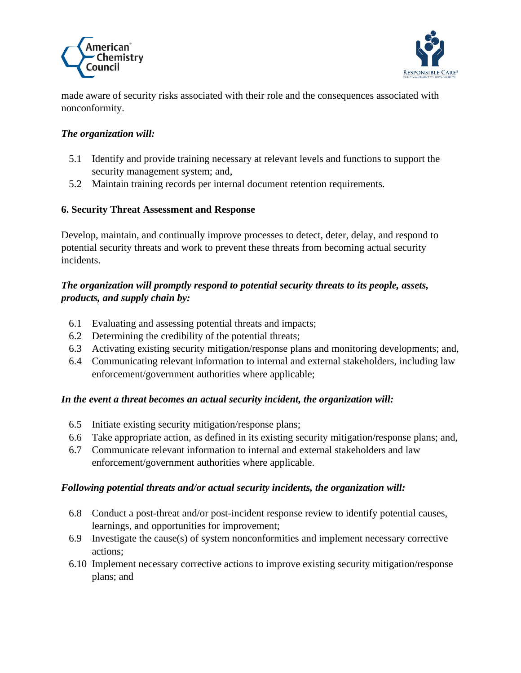



made aware of security risks associated with their role and the consequences associated with nonconformity.

## *The organization will:*

- 5.1 Identify and provide training necessary at relevant levels and functions to support the security management system; and,
- 5.2 Maintain training records per internal document retention requirements.

## **6. Security Threat Assessment and Response**

Develop, maintain, and continually improve processes to detect, deter, delay, and respond to potential security threats and work to prevent these threats from becoming actual security incidents.

## *The organization will promptly respond to potential security threats to its people, assets, products, and supply chain by:*

- 6.1 Evaluating and assessing potential threats and impacts;
- 6.2 Determining the credibility of the potential threats;
- 6.3 Activating existing security mitigation/response plans and monitoring developments; and,
- 6.4 Communicating relevant information to internal and external stakeholders, including law enforcement/government authorities where applicable;

## *In the event a threat becomes an actual security incident, the organization will:*

- 6.5 Initiate existing security mitigation/response plans;
- 6.6 Take appropriate action, as defined in its existing security mitigation/response plans; and,
- 6.7 Communicate relevant information to internal and external stakeholders and law enforcement/government authorities where applicable.

## *Following potential threats and/or actual security incidents, the organization will:*

- 6.8 Conduct a post-threat and/or post-incident response review to identify potential causes, learnings, and opportunities for improvement;
- 6.9 Investigate the cause(s) of system nonconformities and implement necessary corrective actions;
- 6.10 Implement necessary corrective actions to improve existing security mitigation/response plans; and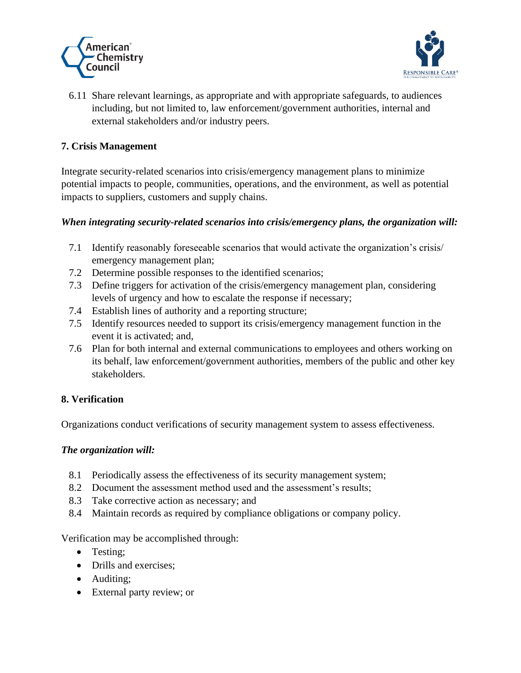



6.11 Share relevant learnings, as appropriate and with appropriate safeguards, to audiences including, but not limited to, law enforcement/government authorities, internal and external stakeholders and/or industry peers.

## **7. Crisis Management**

Integrate security-related scenarios into crisis/emergency management plans to minimize potential impacts to people, communities, operations, and the environment, as well as potential impacts to suppliers, customers and supply chains.

## *When integrating security-related scenarios into crisis/emergency plans, the organization will:*

- 7.1 Identify reasonably foreseeable scenarios that would activate the organization's crisis/ emergency management plan;
- 7.2 Determine possible responses to the identified scenarios;
- 7.3 Define triggers for activation of the crisis/emergency management plan, considering levels of urgency and how to escalate the response if necessary;
- 7.4 Establish lines of authority and a reporting structure;
- 7.5 Identify resources needed to support its crisis/emergency management function in the event it is activated; and,
- 7.6 Plan for both internal and external communications to employees and others working on its behalf, law enforcement/government authorities, members of the public and other key stakeholders.

# **8. Verification**

Organizations conduct verifications of security management system to assess effectiveness.

## *The organization will:*

- 8.1 Periodically assess the effectiveness of its security management system;
- 8.2 Document the assessment method used and the assessment's results;
- 8.3 Take corrective action as necessary; and
- 8.4 Maintain records as required by compliance obligations or company policy.

Verification may be accomplished through:

- Testing:
- Drills and exercises;
- Auditing;
- External party review; or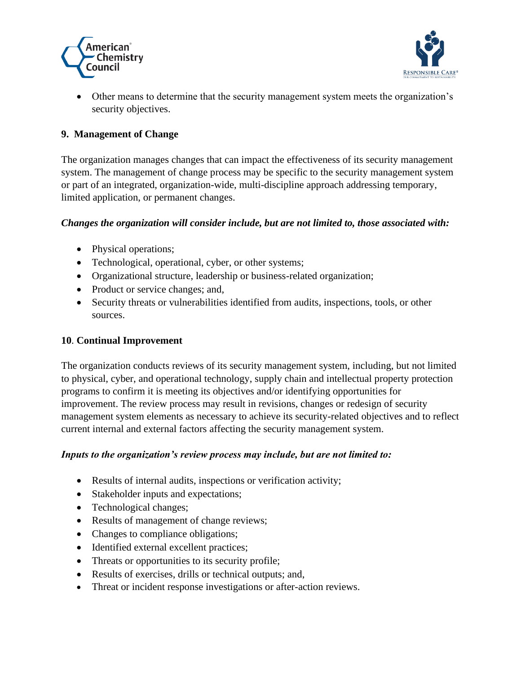



• Other means to determine that the security management system meets the organization's security objectives.

## **9. Management of Change**

The organization manages changes that can impact the effectiveness of its security management system. The management of change process may be specific to the security management system or part of an integrated, organization-wide, multi-discipline approach addressing temporary, limited application, or permanent changes.

#### *Changes the organization will consider include, but are not limited to, those associated with:*

- Physical operations;
- Technological, operational, cyber, or other systems;
- Organizational structure, leadership or business-related organization;
- Product or service changes; and,
- Security threats or vulnerabilities identified from audits, inspections, tools, or other sources.

### **10**. **Continual Improvement**

The organization conducts reviews of its security management system, including, but not limited to physical, cyber, and operational technology, supply chain and intellectual property protection programs to confirm it is meeting its objectives and/or identifying opportunities for improvement. The review process may result in revisions, changes or redesign of security management system elements as necessary to achieve its security-related objectives and to reflect current internal and external factors affecting the security management system.

#### *Inputs to the organization's review process may include, but are not limited to:*

- Results of internal audits, inspections or verification activity;
- Stakeholder inputs and expectations;
- Technological changes;
- Results of management of change reviews;
- Changes to compliance obligations;
- Identified external excellent practices;
- Threats or opportunities to its security profile;
- Results of exercises, drills or technical outputs; and,
- Threat or incident response investigations or after-action reviews.